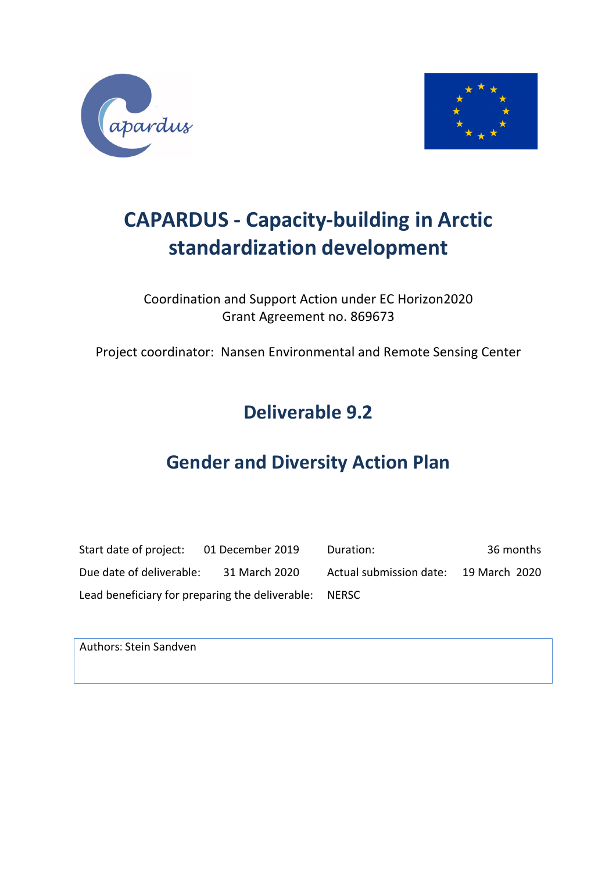



# **CAPARDUS - Capacity-building in Arctic standardization development**

## Coordination and Support Action under EC Horizon2020 Grant Agreement no. 869673

Project coordinator: Nansen Environmental and Remote Sensing Center

# **Deliverable 9.2**

# **Gender and Diversity Action Plan**

| Start date of project:   | 01 December 2019                                      | Duration:               | 36 months     |
|--------------------------|-------------------------------------------------------|-------------------------|---------------|
| Due date of deliverable: | 31 March 2020                                         | Actual submission date: | 19 March 2020 |
|                          | Lead beneficiary for preparing the deliverable: NERSC |                         |               |

Authors: Stein Sandven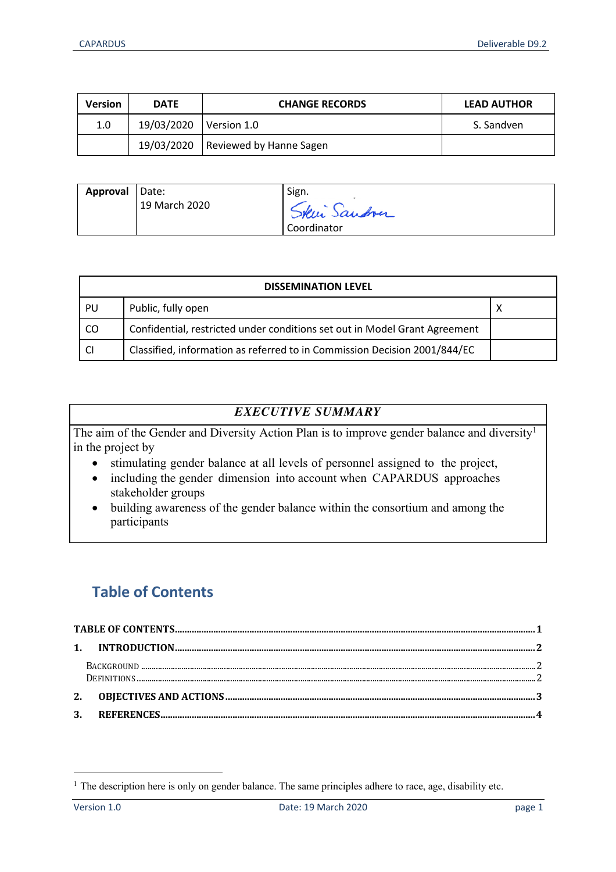| <b>Version</b> | <b>DATE</b> | <b>CHANGE RECORDS</b>   | <b>LEAD AUTHOR</b> |
|----------------|-------------|-------------------------|--------------------|
| 1.0            | 19/03/2020  | Version 1.0             | S. Sandven         |
|                | 19/03/2020  | Reviewed by Hanne Sagen |                    |

| Approval | Date:         | Sign.        |
|----------|---------------|--------------|
|          | 19 March 2020 | Skei Sandrer |
|          |               | Coordinator  |

| <b>DISSEMINATION LEVEL</b> |                                                                            |   |
|----------------------------|----------------------------------------------------------------------------|---|
| PU                         | Public, fully open                                                         | X |
| CO                         | Confidential, restricted under conditions set out in Model Grant Agreement |   |
| <b>CI</b>                  | Classified, information as referred to in Commission Decision 2001/844/EC  |   |

### *EXECUTIVE SUMMARY*

The aim of the Gender and Diversity Action Plan is to improve gender balance and diversity<sup>1</sup> in the project by

- stimulating gender balance at all levels of personnel assigned to the project,
- including the gender dimension into account when CAPARDUS approaches stakeholder groups
- building awareness of the gender balance within the consortium and among the participants

## **Table of Contents**

 $1$  The description here is only on gender balance. The same principles adhere to race, age, disability etc.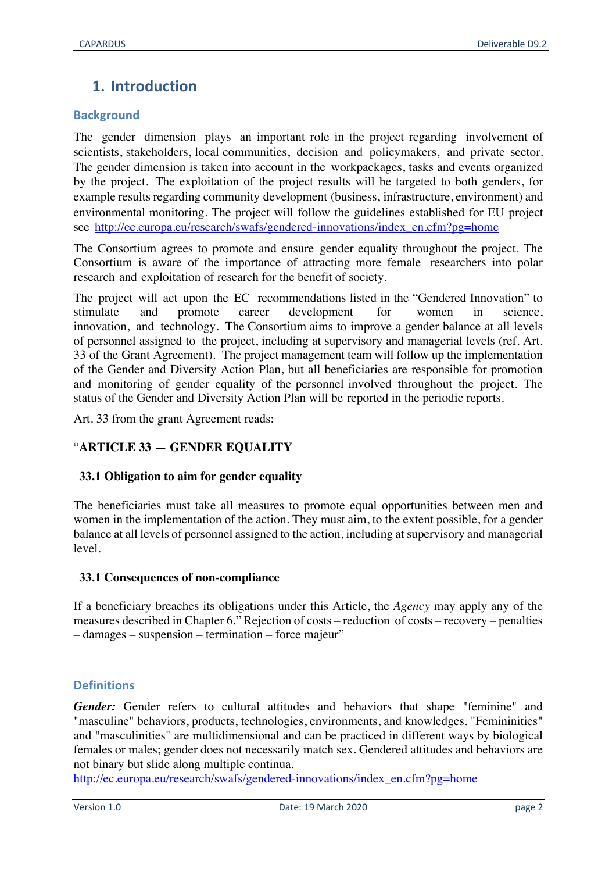# **1. Introduction**

## **Background**

The gender dimension plays an important role in the project regarding involvement of scientists, stakeholders, local communities, decision and policymakers, and private sector. The gender dimension is taken into account in the workpackages, tasks and events organized by the project. The exploitation of the project results will be targeted to both genders, for example results regarding community development (business, infrastructure, environment) and environmental monitoring. The project will follow the guidelines established for EU project see http://ec.europa.eu/research/swafs/gendered-innovations/index\_en.cfm?pg=home

The Consortium agrees to promote and ensure gender equality throughout the project. The Consortium is aware of the importance of attracting more female researchers into polar research and exploitation of research for the benefit of society.

The project will act upon the EC recommendations listed in the "Gendered Innovation" to stimulate and promote career development for women in science, innovation, and technology. The Consortium aims to improve a gender balance at all levels of personnel assigned to the project, including at supervisory and managerial levels (ref. Art. 33 of the Grant Agreement). The project management team will follow up the implementation of the Gender and Diversity Action Plan, but all beneficiaries are responsible for promotion and monitoring of gender equality of the personnel involved throughout the project. The status of the Gender and Diversity Action Plan will be reported in the periodic reports.

Art. 33 from the grant Agreement reads:

## "**ARTICLE 33 — GENDER EQUALITY**

#### **33.1 Obligation to aim for gender equality**

The beneficiaries must take all measures to promote equal opportunities between men and women in the implementation of the action. They must aim, to the extent possible, for a gender balance at all levels of personnel assigned to the action, including at supervisory and managerial level.

#### **33.1 Consequences of non-compliance**

If a beneficiary breaches its obligations under this Article, the *Agency* may apply any of the measures described in Chapter 6." Rejection of costs – reduction of costs – recovery – penalties – damages – suspension – termination – force majeur"

## **Definitions**

*Gender:* Gender refers to cultural attitudes and behaviors that shape "feminine" and "masculine" behaviors, products, technologies, environments, and knowledges. "Femininities" and "masculinities" are multidimensional and can be practiced in different ways by biological females or males; gender does not necessarily match sex. Gendered attitudes and behaviors are not binary but slide along multiple continua.

http://ec.europa.eu/research/swafs/gendered-innovations/index\_en.cfm?pg=home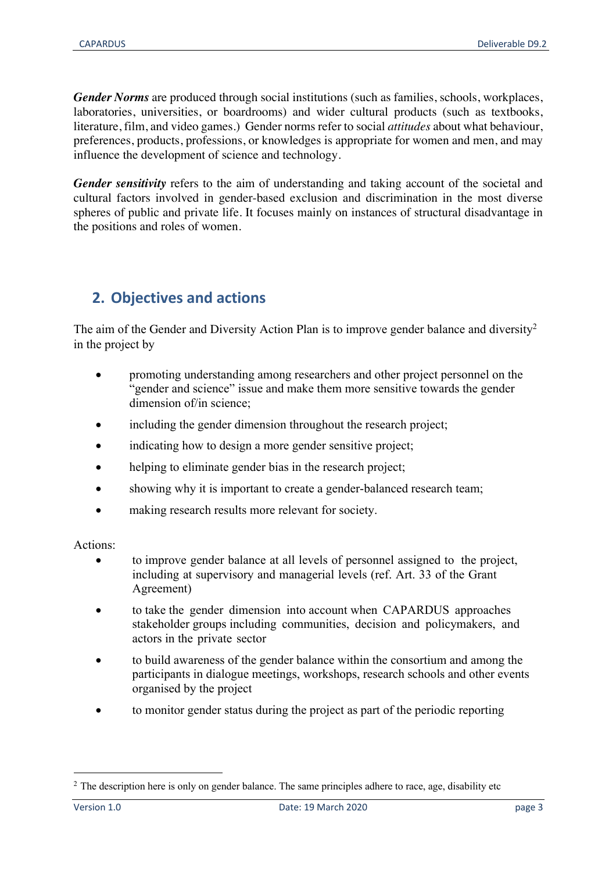*Gender Norms* are produced through social institutions (such as families, schools, workplaces, laboratories, universities, or boardrooms) and wider cultural products (such as textbooks, literature, film, and video games.) Gender norms refer to social *attitudes* about what behaviour, preferences, products, professions, or knowledges is appropriate for women and men, and may influence the development of science and technology.

*Gender sensitivity* refers to the aim of understanding and taking account of the societal and cultural factors involved in gender-based exclusion and discrimination in the most diverse spheres of public and private life. It focuses mainly on instances of structural disadvantage in the positions and roles of women.

## **2. Objectives and actions**

The aim of the Gender and Diversity Action Plan is to improve gender balance and diversity<sup>2</sup> in the project by

- promoting understanding among researchers and other project personnel on the "gender and science" issue and make them more sensitive towards the gender dimension of/in science;
- including the gender dimension throughout the research project;
- indicating how to design a more gender sensitive project;
- helping to eliminate gender bias in the research project;
- showing why it is important to create a gender-balanced research team;
- making research results more relevant for society.

#### Actions:

- to improve gender balance at all levels of personnel assigned to the project, including at supervisory and managerial levels (ref. Art. 33 of the Grant Agreement)
- to take the gender dimension into account when CAPARDUS approaches stakeholder groups including communities, decision and policymakers, and actors in the private sector
- to build awareness of the gender balance within the consortium and among the participants in dialogue meetings, workshops, research schools and other events organised by the project
- to monitor gender status during the project as part of the periodic reporting

<sup>&</sup>lt;sup>2</sup> The description here is only on gender balance. The same principles adhere to race, age, disability etc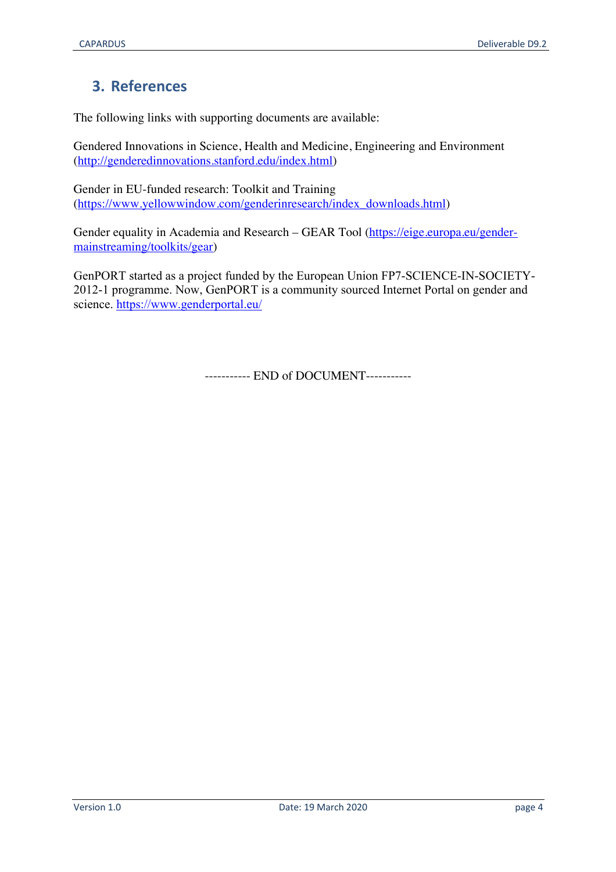# **3. References**

The following links with supporting documents are available:

Gendered Innovations in Science, Health and Medicine, Engineering and Environment (http://genderedinnovations.stanford.edu/index.html)

Gender in EU-funded research: Toolkit and Training (https://www.yellowwindow.com/genderinresearch/index\_downloads.html)

Gender equality in Academia and Research – GEAR Tool (https://eige.europa.eu/gendermainstreaming/toolkits/gear)

GenPORT started as a project funded by the European Union FP7-SCIENCE-IN-SOCIETY-2012-1 programme. Now, GenPORT is a community sourced Internet Portal on gender and science. https://www.genderportal.eu/

----------- END of DOCUMENT-----------